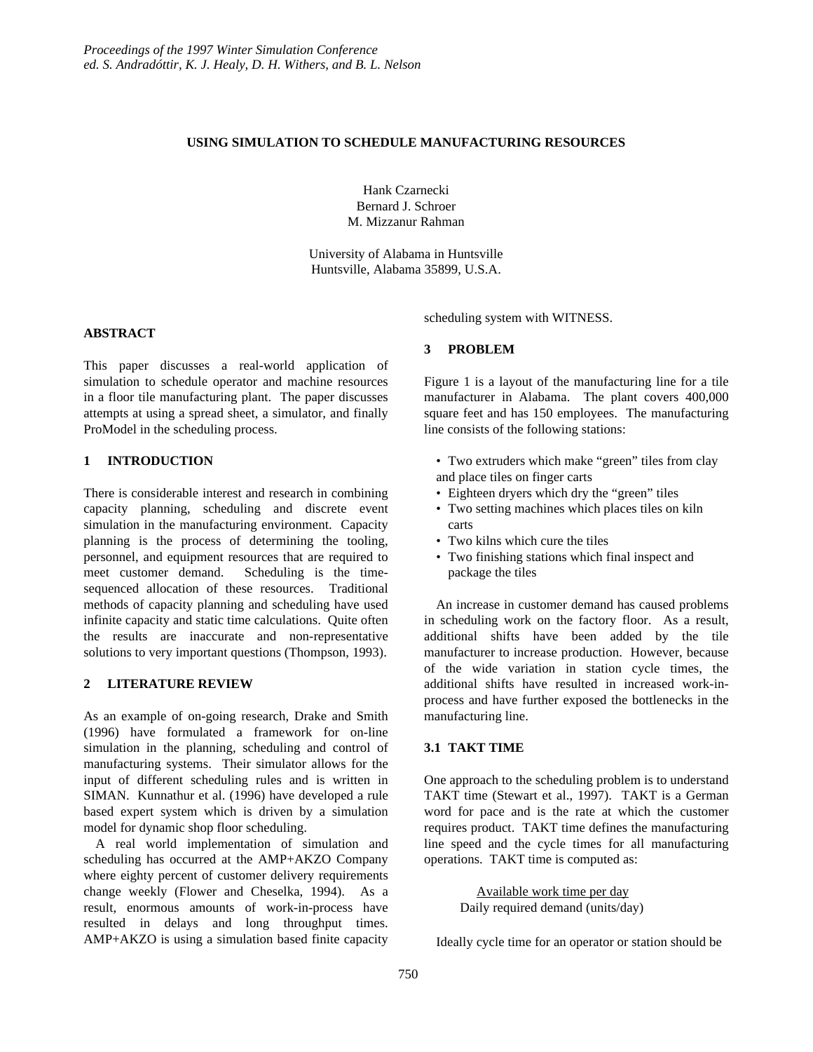## **USING SIMULATION TO SCHEDULE MANUFACTURING RESOURCES**

Hank Czarnecki Bernard J. Schroer M. Mizzanur Rahman

University of Alabama in Huntsville Huntsville, Alabama 35899, U.S.A.

### **ABSTRACT**

This paper discusses a real-world application of simulation to schedule operator and machine resources in a floor tile manufacturing plant. The paper discusses attempts at using a spread sheet, a simulator, and finally ProModel in the scheduling process.

## **1 INTRODUCTION**

There is considerable interest and research in combining capacity planning, scheduling and discrete event simulation in the manufacturing environment. Capacity planning is the process of determining the tooling, personnel, and equipment resources that are required to meet customer demand. Scheduling is the timesequenced allocation of these resources. Traditional methods of capacity planning and scheduling have used infinite capacity and static time calculations. Quite often the results are inaccurate and non-representative solutions to very important questions (Thompson, 1993).

### **2 LITERATURE REVIEW**

As an example of on-going research, Drake and Smith (1996) have formulated a framework for on-line simulation in the planning, scheduling and control of manufacturing systems. Their simulator allows for the input of different scheduling rules and is written in SIMAN. Kunnathur et al. (1996) have developed a rule based expert system which is driven by a simulation model for dynamic shop floor scheduling.

A real world implementation of simulation and scheduling has occurred at the AMP+AKZO Company where eighty percent of customer delivery requirements change weekly (Flower and Cheselka, 1994). As a result, enormous amounts of work-in-process have resulted in delays and long throughput times. AMP+AKZO is using a simulation based finite capacity scheduling system with WITNESS.

### **3 PROBLEM**

Figure 1 is a layout of the manufacturing line for a tile manufacturer in Alabama. The plant covers 400,000 square feet and has 150 employees. The manufacturing line consists of the following stations:

- Two extruders which make "green" tiles from clay and place tiles on finger carts
- Eighteen dryers which dry the "green" tiles
- Two setting machines which places tiles on kiln carts
- Two kilns which cure the tiles
- Two finishing stations which final inspect and package the tiles

An increase in customer demand has caused problems in scheduling work on the factory floor. As a result, additional shifts have been added by the tile manufacturer to increase production. However, because of the wide variation in station cycle times, the additional shifts have resulted in increased work-inprocess and have further exposed the bottlenecks in the manufacturing line.

### **3.1 TAKT TIME**

One approach to the scheduling problem is to understand TAKT time (Stewart et al., 1997). TAKT is a German word for pace and is the rate at which the customer requires product. TAKT time defines the manufacturing line speed and the cycle times for all manufacturing operations. TAKT time is computed as:

> Available work time per day Daily required demand (units/day)

Ideally cycle time for an operator or station should be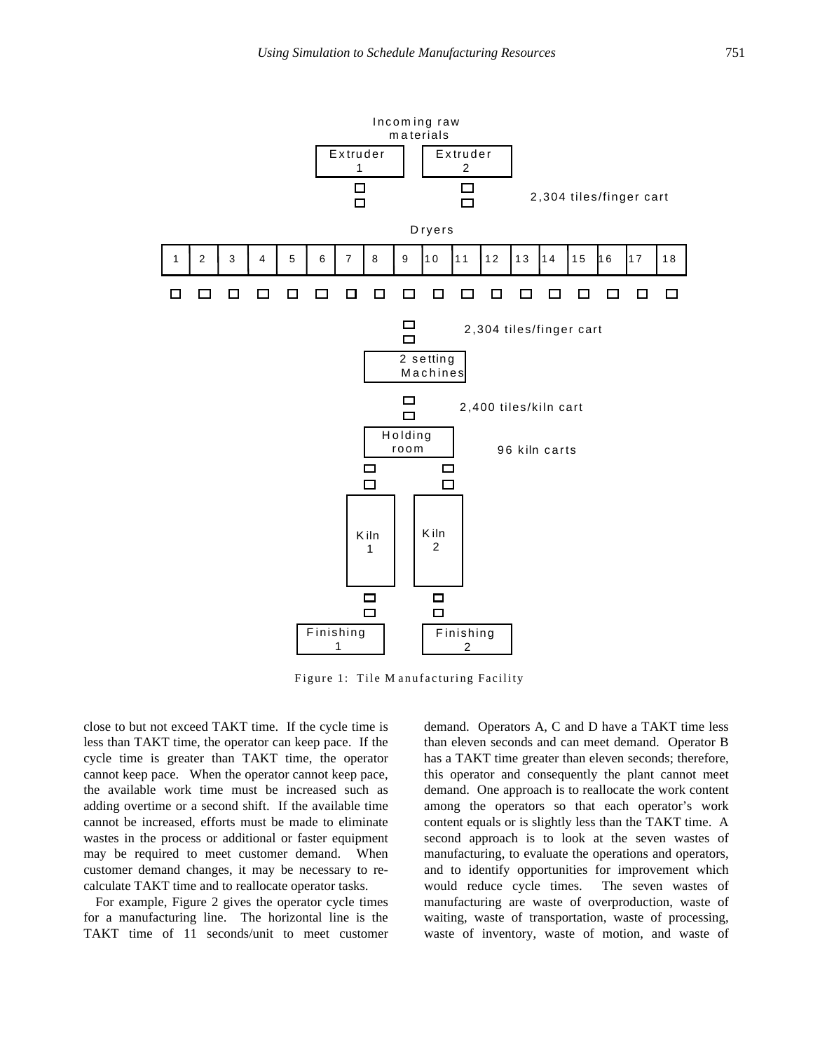

Figure 1: Tile M anufacturing Facility

close to but not exceed TAKT time. If the cycle time is less than TAKT time, the operator can keep pace. If the cycle time is greater than TAKT time, the operator cannot keep pace. When the operator cannot keep pace, the available work time must be increased such as adding overtime or a second shift. If the available time cannot be increased, efforts must be made to eliminate wastes in the process or additional or faster equipment may be required to meet customer demand. When customer demand changes, it may be necessary to recalculate TAKT time and to reallocate operator tasks.

For example, Figure 2 gives the operator cycle times for a manufacturing line. The horizontal line is the TAKT time of 11 seconds/unit to meet customer demand. Operators A, C and D have a TAKT time less than eleven seconds and can meet demand. Operator B has a TAKT time greater than eleven seconds; therefore, this operator and consequently the plant cannot meet demand. One approach is to reallocate the work content among the operators so that each operator's work content equals or is slightly less than the TAKT time. A second approach is to look at the seven wastes of manufacturing, to evaluate the operations and operators, and to identify opportunities for improvement which would reduce cycle times. The seven wastes of manufacturing are waste of overproduction, waste of waiting, waste of transportation, waste of processing, waste of inventory, waste of motion, and waste of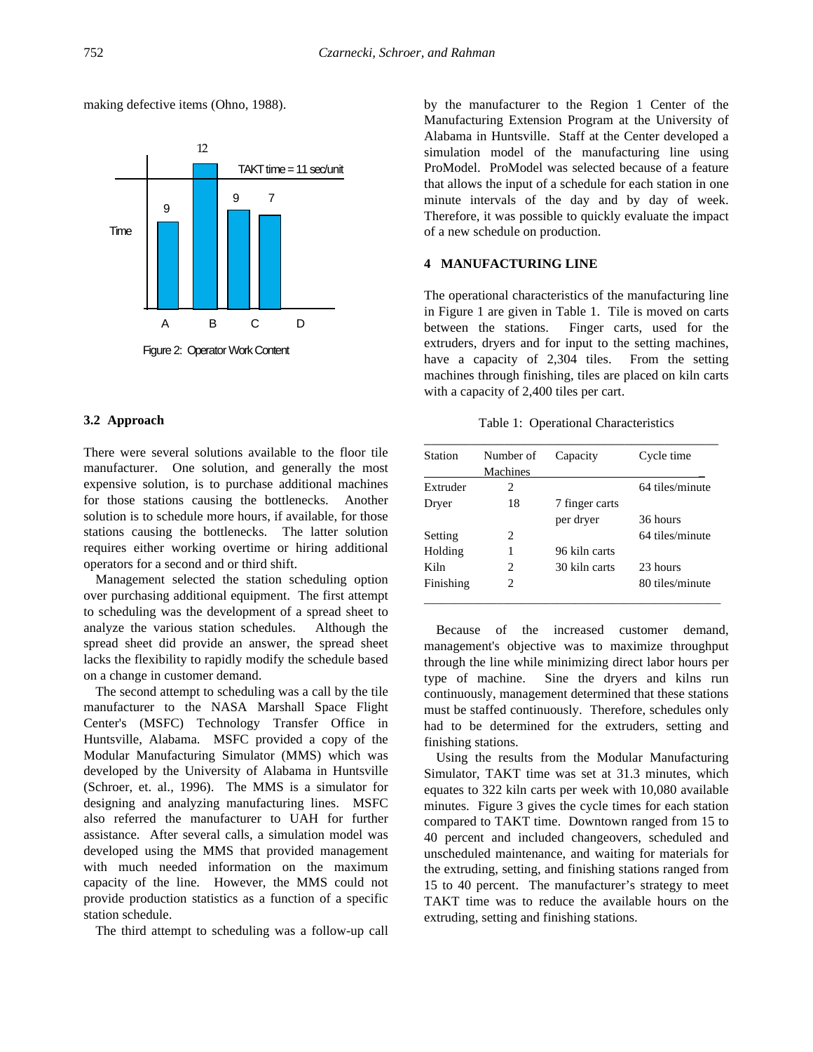making defective items (Ohno, 1988).



Figure 2: Operator Work Content

### **3.2 Approach**

There were several solutions available to the floor tile manufacturer. One solution, and generally the most expensive solution, is to purchase additional machines for those stations causing the bottlenecks. Another solution is to schedule more hours, if available, for those stations causing the bottlenecks. The latter solution requires either working overtime or hiring additional operators for a second and or third shift.

Management selected the station scheduling option over purchasing additional equipment. The first attempt to scheduling was the development of a spread sheet to analyze the various station schedules. Although the spread sheet did provide an answer, the spread sheet lacks the flexibility to rapidly modify the schedule based on a change in customer demand.

The second attempt to scheduling was a call by the tile manufacturer to the NASA Marshall Space Flight Center's (MSFC) Technology Transfer Office in Huntsville, Alabama. MSFC provided a copy of the Modular Manufacturing Simulator (MMS) which was developed by the University of Alabama in Huntsville (Schroer, et. al., 1996). The MMS is a simulator for designing and analyzing manufacturing lines. MSFC also referred the manufacturer to UAH for further assistance. After several calls, a simulation model was developed using the MMS that provided management with much needed information on the maximum capacity of the line. However, the MMS could not provide production statistics as a function of a specific station schedule.

The third attempt to scheduling was a follow-up call

by the manufacturer to the Region 1 Center of the Manufacturing Extension Program at the University of Alabama in Huntsville. Staff at the Center developed a simulation model of the manufacturing line using ProModel. ProModel was selected because of a feature that allows the input of a schedule for each station in one minute intervals of the day and by day of week. Therefore, it was possible to quickly evaluate the impact of a new schedule on production.

# **4 MANUFACTURING LINE**

The operational characteristics of the manufacturing line in Figure 1 are given in Table 1. Tile is moved on carts between the stations. Finger carts, used for the extruders, dryers and for input to the setting machines, have a capacity of 2,304 tiles. From the setting machines through finishing, tiles are placed on kiln carts with a capacity of 2,400 tiles per cart.

Table 1: Operational Characteristics

| Station   | Number of | Capacity       | Cycle time      |
|-----------|-----------|----------------|-----------------|
|           | Machines  |                |                 |
| Extruder  | 2         |                | 64 tiles/minute |
| Dryer     | 18        | 7 finger carts |                 |
|           |           | per dryer      | 36 hours        |
| Setting   | 2         |                | 64 tiles/minute |
| Holding   | 1         | 96 kiln carts  |                 |
| Kiln      | 2.        | 30 kiln carts  | 23 hours        |
| Finishing | 2         |                | 80 tiles/minute |

Because of the increased customer demand, management's objective was to maximize throughput through the line while minimizing direct labor hours per type of machine. Sine the dryers and kilns run continuously, management determined that these stations must be staffed continuously. Therefore, schedules only had to be determined for the extruders, setting and finishing stations.

Using the results from the Modular Manufacturing Simulator, TAKT time was set at 31.3 minutes, which equates to 322 kiln carts per week with 10,080 available minutes. Figure 3 gives the cycle times for each station compared to TAKT time. Downtown ranged from 15 to 40 percent and included changeovers, scheduled and unscheduled maintenance, and waiting for materials for the extruding, setting, and finishing stations ranged from 15 to 40 percent. The manufacturer's strategy to meet TAKT time was to reduce the available hours on the extruding, setting and finishing stations.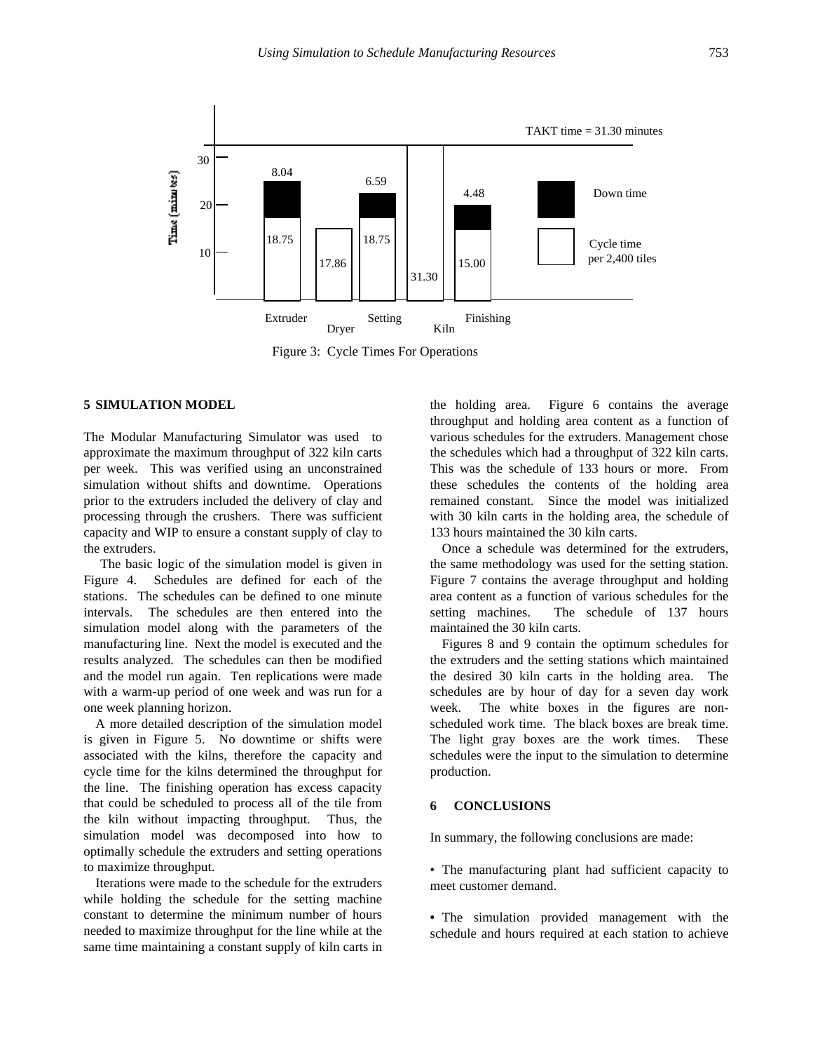

Figure 3: Cycle Times For Operations

# **5 SIMULATION MODEL**

The Modular Manufacturing Simulator was used to approximate the maximum throughput of 322 kiln carts per week. This was verified using an unconstrained simulation without shifts and downtime. Operations prior to the extruders included the delivery of clay and processing through the crushers. There was sufficient capacity and WIP to ensure a constant supply of clay to the extruders.

 The basic logic of the simulation model is given in Figure 4. Schedules are defined for each of the stations. The schedules can be defined to one minute intervals. The schedules are then entered into the simulation model along with the parameters of the manufacturing line. Next the model is executed and the results analyzed. The schedules can then be modified and the model run again. Ten replications were made with a warm-up period of one week and was run for a one week planning horizon.

A more detailed description of the simulation model is given in Figure 5. No downtime or shifts were associated with the kilns, therefore the capacity and cycle time for the kilns determined the throughput for the line. The finishing operation has excess capacity that could be scheduled to process all of the tile from the kiln without impacting throughput. Thus, the simulation model was decomposed into how to optimally schedule the extruders and setting operations to maximize throughput.

Iterations were made to the schedule for the extruders while holding the schedule for the setting machine constant to determine the minimum number of hours needed to maximize throughput for the line while at the same time maintaining a constant supply of kiln carts in the holding area. Figure 6 contains the average throughput and holding area content as a function of various schedules for the extruders. Management chose the schedules which had a throughput of 322 kiln carts. This was the schedule of 133 hours or more. From these schedules the contents of the holding area remained constant. Since the model was initialized with 30 kiln carts in the holding area, the schedule of 133 hours maintained the 30 kiln carts.

Once a schedule was determined for the extruders, the same methodology was used for the setting station. Figure 7 contains the average throughput and holding area content as a function of various schedules for the setting machines. The schedule of 137 hours maintained the 30 kiln carts.

Figures 8 and 9 contain the optimum schedules for the extruders and the setting stations which maintained the desired 30 kiln carts in the holding area. The schedules are by hour of day for a seven day work week. The white boxes in the figures are nonscheduled work time. The black boxes are break time. The light gray boxes are the work times. These schedules were the input to the simulation to determine production.

#### **6 CONCLUSIONS**

In summary, the following conclusions are made:

• The manufacturing plant had sufficient capacity to meet customer demand.

**•** The simulation provided management with the schedule and hours required at each station to achieve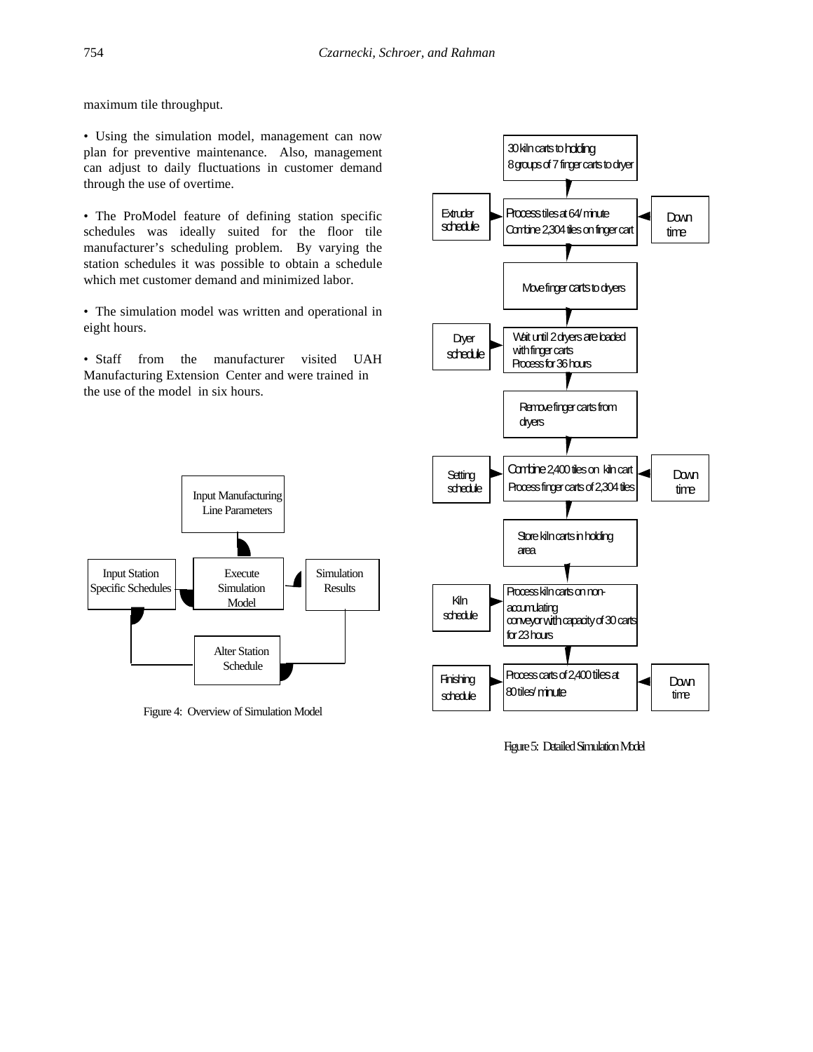maximum tile throughput.

• Using the simulation model, management can now plan for preventive maintenance. Also, management can adjust to daily fluctuations in customer demand through the use of overtime.

• The ProModel feature of defining station specific schedules was ideally suited for the floor tile manufacturer's scheduling problem. By varying the station schedules it was possible to obtain a schedule which met customer demand and minimized labor.

• The simulation model was written and operational in eight hours.

• Staff from the manufacturer visited UAH Manufacturing Extension Center and were trained in the use of the model in six hours.



Figure 4: Overview of Simulation Model



Figure 5: Detailed Simulation Model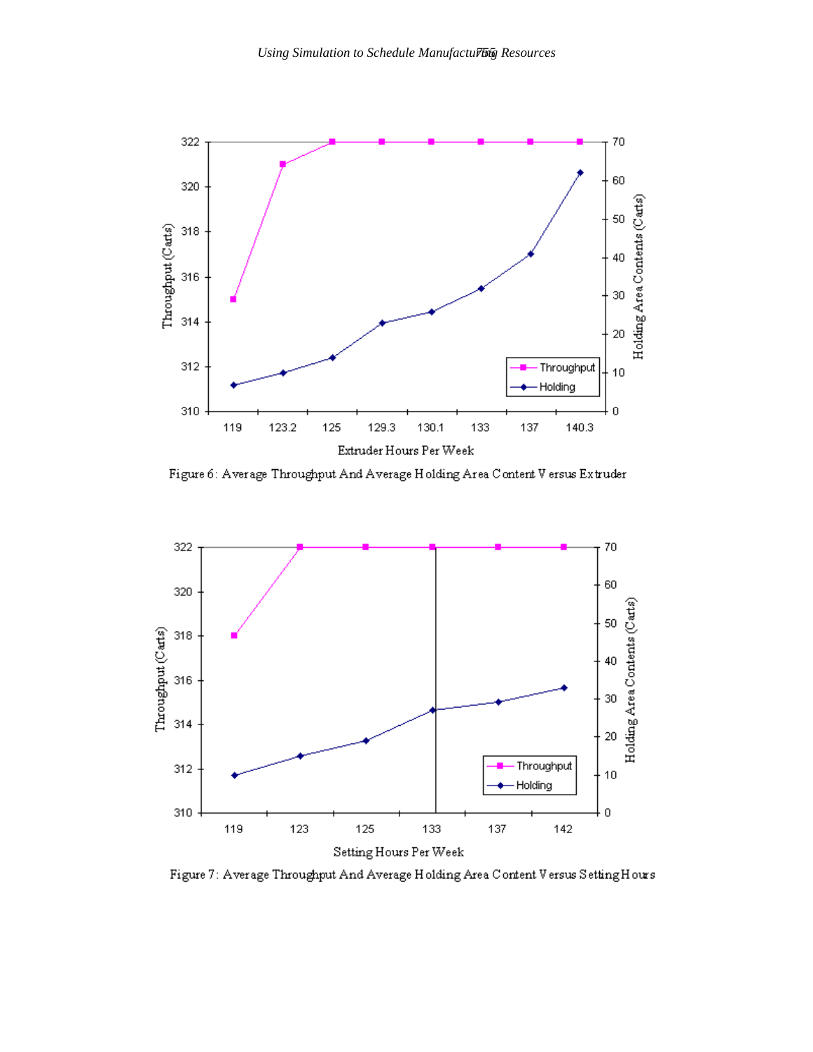

Figure 6: Average Throughput And Average Holding Area Content V ersus Extruder



Figure 7: Average Throughput And Average Holding Area Content Versus Setting Hours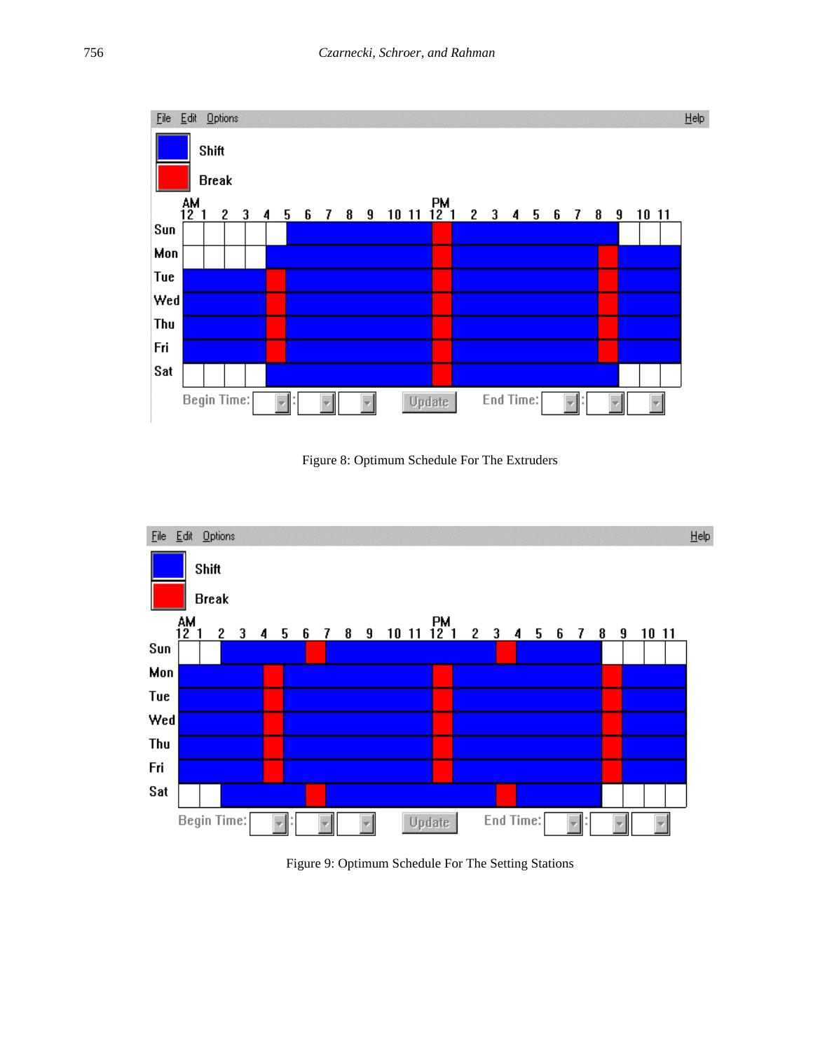





Figure 9: Optimum Schedule For The Setting Stations